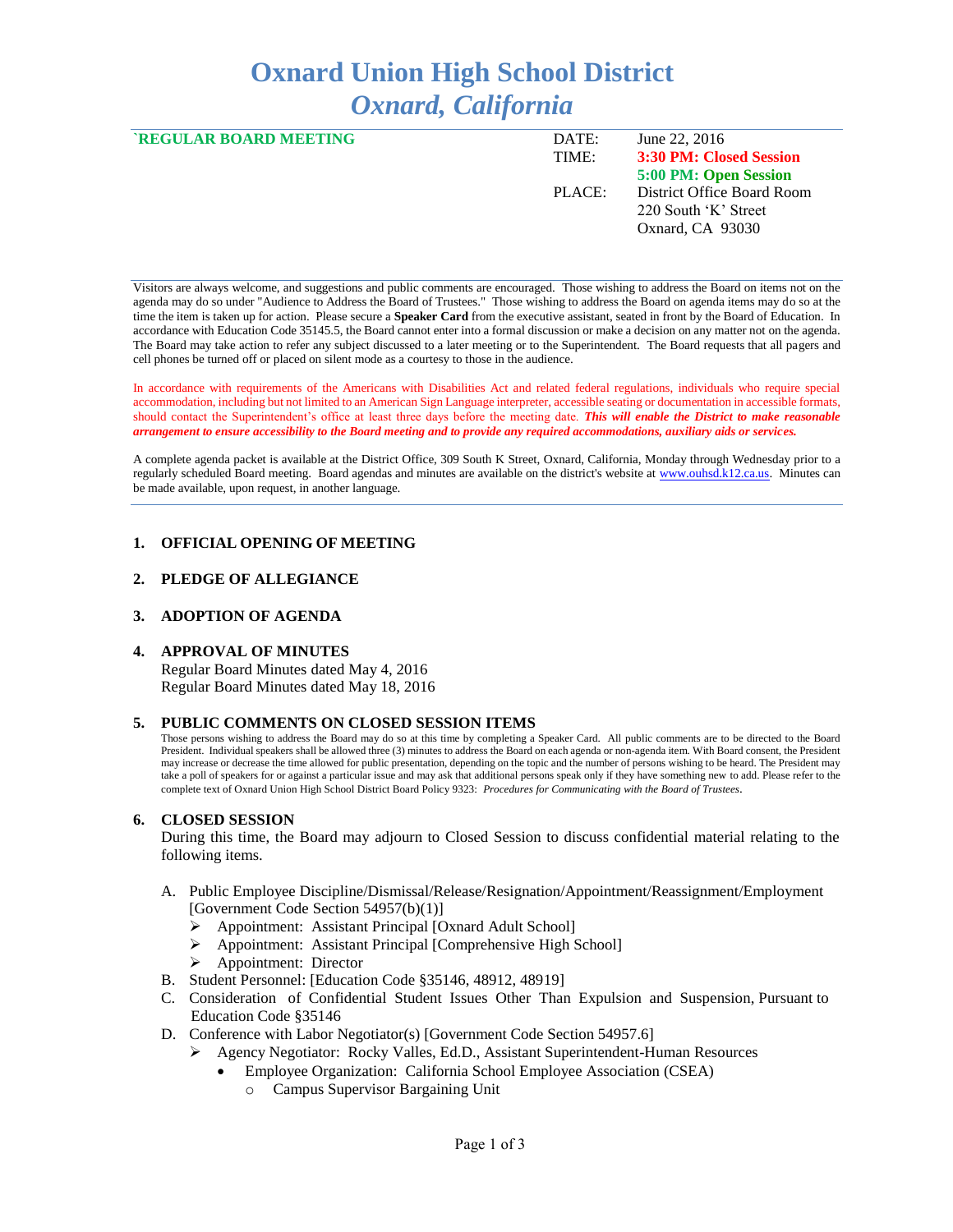# **Oxnard Union High School District** *Oxnard, California*

| <b>`REGULAR BOARD MEETING</b> | DATE:<br>TIME: | June 22, 2016<br>3:30 PM: Closed Session                               |
|-------------------------------|----------------|------------------------------------------------------------------------|
|                               |                | 5:00 PM: Open Session                                                  |
|                               | PLACE:         | District Office Board Room<br>220 South 'K' Street<br>Oxnard, CA 93030 |

Visitors are always welcome, and suggestions and public comments are encouraged. Those wishing to address the Board on items not on the agenda may do so under "Audience to Address the Board of Trustees." Those wishing to address the Board on agenda items may do so at the time the item is taken up for action. Please secure a **Speaker Card** from the executive assistant, seated in front by the Board of Education. In accordance with Education Code 35145.5, the Board cannot enter into a formal discussion or make a decision on any matter not on the agenda. The Board may take action to refer any subject discussed to a later meeting or to the Superintendent. The Board requests that all pagers and cell phones be turned off or placed on silent mode as a courtesy to those in the audience.

In accordance with requirements of the Americans with Disabilities Act and related federal regulations, individuals who require special accommodation, including but not limited to an American Sign Language interpreter, accessible seating or documentation in accessible formats, should contact the Superintendent's office at least three days before the meeting date. *This will enable the District to make reasonable arrangement to ensure accessibility to the Board meeting and to provide any required accommodations, auxiliary aids or services.* 

A complete agenda packet is available at the District Office, 309 South K Street, Oxnard, California, Monday through Wednesday prior to a regularly scheduled Board meeting. Board agendas and minutes are available on the district's website a[t www.ouhsd.k12.ca.us.](http://www.ouhsd.k12.ca.us/)Minutes can be made available, upon request, in another language.

## **1. OFFICIAL OPENING OF MEETING**

#### **2. PLEDGE OF ALLEGIANCE**

#### **3. ADOPTION OF AGENDA**

#### **4. APPROVAL OF MINUTES**

Regular Board Minutes dated May 4, 2016 Regular Board Minutes dated May 18, 2016

#### **5. PUBLIC COMMENTS ON CLOSED SESSION ITEMS**

Those persons wishing to address the Board may do so at this time by completing a Speaker Card. All public comments are to be directed to the Board President. Individual speakers shall be allowed three (3) minutes to address the Board on each agenda or non-agenda item. With Board consent, the President may increase or decrease the time allowed for public presentation, depending on the topic and the number of persons wishing to be heard. The President may take a poll of speakers for or against a particular issue and may ask that additional persons speak only if they have something new to add. Please refer to the complete text of Oxnard Union High School District Board Policy 9323: *Procedures for Communicating with the Board of Trustees*.

#### **6. CLOSED SESSION**

During this time, the Board may adjourn to Closed Session to discuss confidential material relating to the following items.

- A. Public Employee Discipline/Dismissal/Release/Resignation/Appointment/Reassignment/Employment [Government Code Section 54957(b)(1)]
	- Appointment: Assistant Principal [Oxnard Adult School]
	- Appointment: Assistant Principal [Comprehensive High School]
	- > Appointment: Director
- B. Student Personnel: [Education Code §35146, 48912, 48919]
- C. Consideration of Confidential Student Issues Other Than Expulsion and Suspension, Pursuant to Education Code §35146
- D. Conference with Labor Negotiator(s) [Government Code Section 54957.6]
	- Agency Negotiator: Rocky Valles, Ed.D., Assistant Superintendent-Human Resources
		- Employee Organization: California School Employee Association (CSEA)
			- o Campus Supervisor Bargaining Unit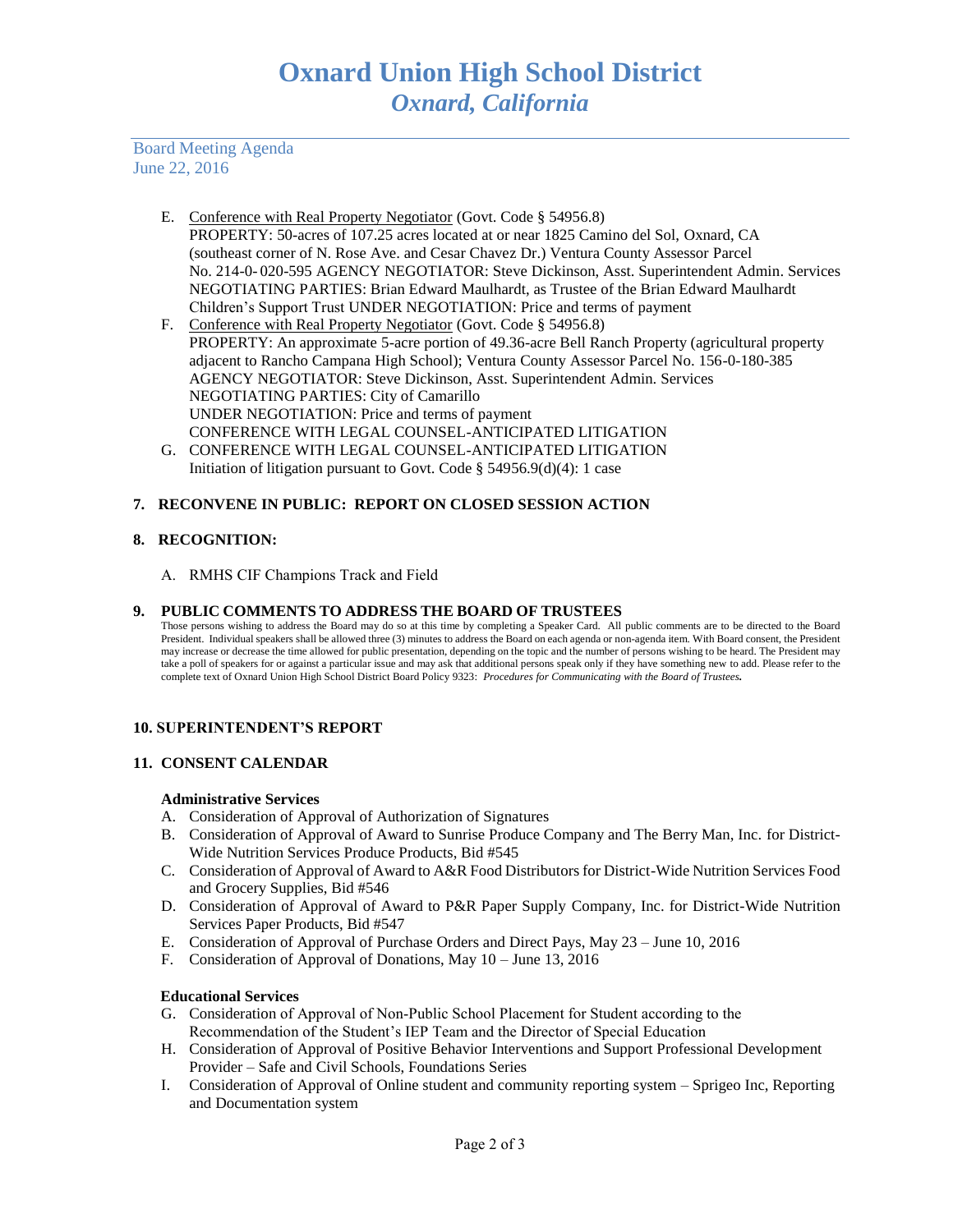Board Meeting Agenda June 22, 2016

- E. Conference with Real Property Negotiator (Govt. Code § 54956.8) PROPERTY: 50-acres of 107.25 acres located at or near 1825 Camino del Sol, Oxnard, CA (southeast corner of N. Rose Ave. and Cesar Chavez Dr.) Ventura County Assessor Parcel No. 214-0- 020-595 AGENCY NEGOTIATOR: Steve Dickinson, Asst. Superintendent Admin. Services NEGOTIATING PARTIES: Brian Edward Maulhardt, as Trustee of the Brian Edward Maulhardt Children's Support Trust UNDER NEGOTIATION: Price and terms of payment
- F. Conference with Real Property Negotiator (Govt. Code § 54956.8) PROPERTY: An approximate 5-acre portion of 49.36-acre Bell Ranch Property (agricultural property adjacent to Rancho Campana High School); Ventura County Assessor Parcel No. 156-0-180-385 AGENCY NEGOTIATOR: Steve Dickinson, Asst. Superintendent Admin. Services NEGOTIATING PARTIES: City of Camarillo UNDER NEGOTIATION: Price and terms of payment CONFERENCE WITH LEGAL COUNSEL-ANTICIPATED LITIGATION
- G. CONFERENCE WITH LEGAL COUNSEL-ANTICIPATED LITIGATION Initiation of litigation pursuant to Govt. Code  $\S$  54956.9(d)(4): 1 case

# **7. RECONVENE IN PUBLIC: REPORT ON CLOSED SESSION ACTION**

## **8. RECOGNITION:**

A. RMHS CIF Champions Track and Field

## **9. PUBLIC COMMENTS TO ADDRESS THE BOARD OF TRUSTEES**

Those persons wishing to address the Board may do so at this time by completing a Speaker Card. All public comments are to be directed to the Board President. Individual speakers shall be allowed three (3) minutes to address the Board on each agenda or non-agenda item. With Board consent, the President may increase or decrease the time allowed for public presentation, depending on the topic and the number of persons wishing to be heard. The President may take a poll of speakers for or against a particular issue and may ask that additional persons speak only if they have something new to add. Please refer to the complete text of Oxnard Union High School District Board Policy 9323: *Procedures for Communicating with the Board of Trustees.*

## **10. SUPERINTENDENT'S REPORT**

## **11. CONSENT CALENDAR**

## **Administrative Services**

- A. Consideration of Approval of Authorization of Signatures
- B. Consideration of Approval of Award to Sunrise Produce Company and The Berry Man, Inc. for District-Wide Nutrition Services Produce Products, Bid #545
- C. Consideration of Approval of Award to A&R Food Distributors for District-Wide Nutrition Services Food and Grocery Supplies, Bid #546
- D. Consideration of Approval of Award to P&R Paper Supply Company, Inc. for District-Wide Nutrition Services Paper Products, Bid #547
- E. Consideration of Approval of Purchase Orders and Direct Pays, May 23 June 10, 2016
- F. Consideration of Approval of Donations, May 10 June 13, 2016

## **Educational Services**

- G. Consideration of Approval of Non-Public School Placement for Student according to the Recommendation of the Student's IEP Team and the Director of Special Education
- H. Consideration of Approval of Positive Behavior Interventions and Support Professional Development Provider – Safe and Civil Schools, Foundations Series
- I. Consideration of Approval of Online student and community reporting system Sprigeo Inc, Reporting and Documentation system